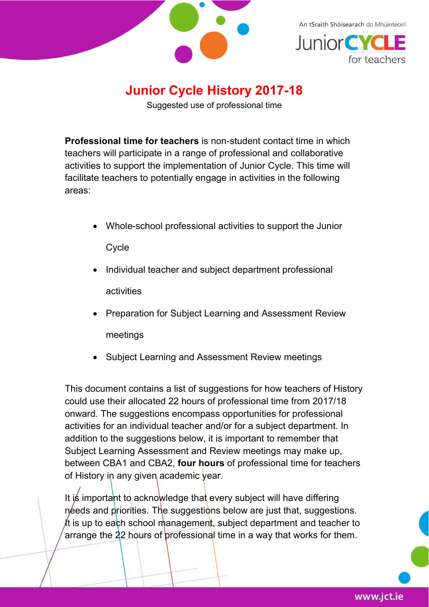

An tSraith Shóisearach do Mhúinteoirí



Junior Cycle History 2017-18

Suggested use of professional time

Professional time for teachers is non-student contact time in which teachers will participate in a range of professional and collaborative activities to support the implementation of Junior Cycle. This time will facilitate teachers to potentially engage in activities in the following areas:

Whole-school professional activities to support the Junior

**Cycle** 

- Individual teacher and subject department professional activities
- Preparation for Subject Learning and Assessment Review meetings
- Subject Learning and Assessment Review meetings

This document contains a list of suggestions for how teachers of History could use their allocated 22 hours of professional time from 2017/18 onward. The suggestions encompass opportunities for professional activities for an individual teacher and/or for a subject department. In addition to the suggestions below, it is important to remember that Subject Learning Assessment and Review meetings may make up, between CBA1 and CBA2, four hours of professional time for teachers of History in any given academic year.

It is important to acknowledge that every subject will have differing needs and priorities. The suggestions below are just that, suggestions. It is up to each school management, subject department and teacher to arrange the 22 hours of professional time in a way that works for them.